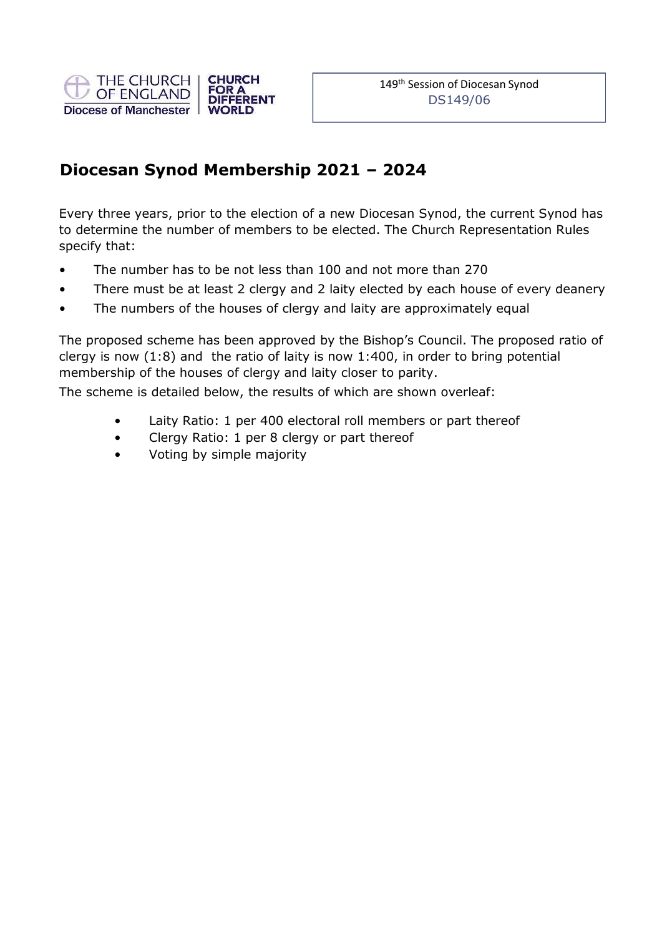

## Diocesan Synod Membership 2021 – 2024

Every three years, prior to the election of a new Diocesan Synod, the current Synod has to determine the number of members to be elected. The Church Representation Rules specify that:

- The number has to be not less than 100 and not more than 270
- There must be at least 2 clergy and 2 laity elected by each house of every deanery
- The numbers of the houses of clergy and laity are approximately equal

The proposed scheme has been approved by the Bishop's Council. The proposed ratio of clergy is now (1:8) and the ratio of laity is now 1:400, in order to bring potential membership of the houses of clergy and laity closer to parity.

The scheme is detailed below, the results of which are shown overleaf:

- Laity Ratio: 1 per 400 electoral roll members or part thereof
- Clergy Ratio: 1 per 8 clergy or part thereof
- Voting by simple majority